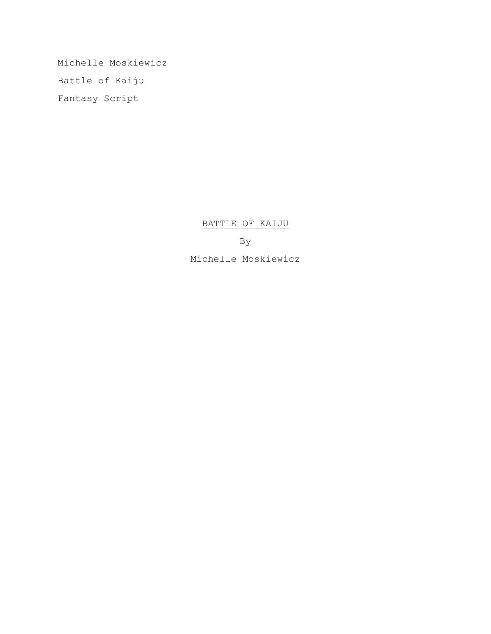Michelle Moskiewicz Battle of Kaiju Fantasy Script

BATTLE OF KAIJU

By

Michelle Moskiewicz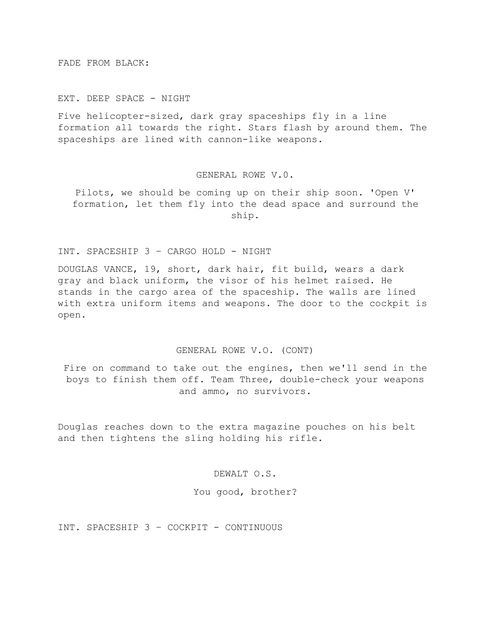FADE FROM BLACK:

EXT. DEEP SPACE - NIGHT

Five helicopter-sized, dark gray spaceships fly in a line formation all towards the right. Stars flash by around them. The spaceships are lined with cannon-like weapons.

## GENERAL ROWE V.0.

Pilots, we should be coming up on their ship soon. 'Open V' formation, let them fly into the dead space and surround the ship.

# INT. SPACESHIP 3 – CARGO HOLD - NIGHT

DOUGLAS VANCE, 19, short, dark hair, fit build, wears a dark gray and black uniform, the visor of his helmet raised. He stands in the cargo area of the spaceship. The walls are lined with extra uniform items and weapons. The door to the cockpit is open.

## GENERAL ROWE V.O. (CONT)

Fire on command to take out the engines, then we'll send in the boys to finish them off. Team Three, double-check your weapons and ammo, no survivors.

Douglas reaches down to the extra magazine pouches on his belt and then tightens the sling holding his rifle.

DEWALT O.S.

#### You good, brother?

INT. SPACESHIP 3 – COCKPIT - CONTINUOUS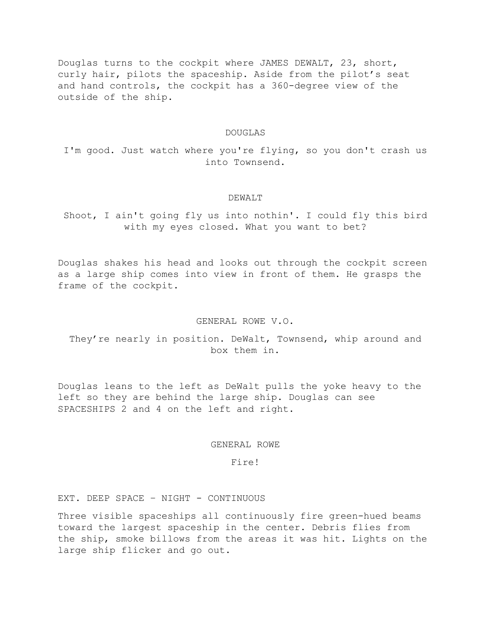Douglas turns to the cockpit where JAMES DEWALT, 23, short, curly hair, pilots the spaceship. Aside from the pilot's seat and hand controls, the cockpit has a 360-degree view of the outside of the ship.

#### DOUGLAS

I'm good. Just watch where you're flying, so you don't crash us into Townsend.

### DEWALT

Shoot, I ain't going fly us into nothin'. I could fly this bird with my eyes closed. What you want to bet?

Douglas shakes his head and looks out through the cockpit screen as a large ship comes into view in front of them. He grasps the frame of the cockpit.

### GENERAL ROWE V.O.

They're nearly in position. DeWalt, Townsend, whip around and box them in.

Douglas leans to the left as DeWalt pulls the yoke heavy to the left so they are behind the large ship. Douglas can see SPACESHIPS 2 and 4 on the left and right.

#### GENERAL ROWE

# Fire!

# EXT. DEEP SPACE – NIGHT - CONTINUOUS

Three visible spaceships all continuously fire green-hued beams toward the largest spaceship in the center. Debris flies from the ship, smoke billows from the areas it was hit. Lights on the large ship flicker and go out.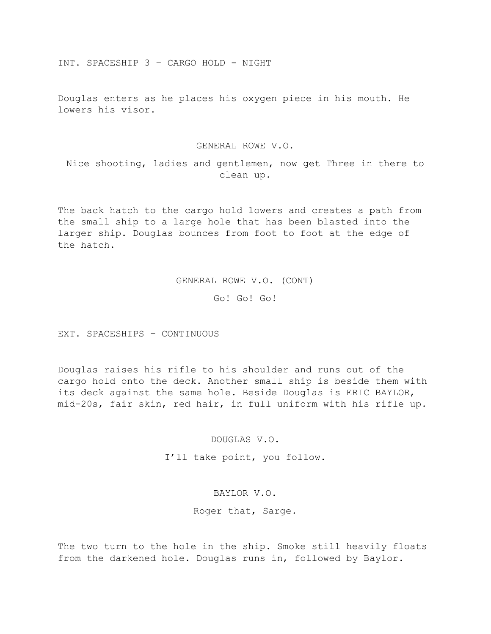INT. SPACESHIP 3 – CARGO HOLD - NIGHT

Douglas enters as he places his oxygen piece in his mouth. He lowers his visor.

GENERAL ROWE V.O.

Nice shooting, ladies and gentlemen, now get Three in there to clean up.

The back hatch to the cargo hold lowers and creates a path from the small ship to a large hole that has been blasted into the larger ship. Douglas bounces from foot to foot at the edge of the hatch.

GENERAL ROWE V.O. (CONT)

Go! Go! Go!

EXT. SPACESHIPS – CONTINUOUS

Douglas raises his rifle to his shoulder and runs out of the cargo hold onto the deck. Another small ship is beside them with its deck against the same hole. Beside Douglas is ERIC BAYLOR, mid-20s, fair skin, red hair, in full uniform with his rifle up.

DOUGLAS V.O.

I'll take point, you follow.

BAYLOR V.O.

Roger that, Sarge.

The two turn to the hole in the ship. Smoke still heavily floats from the darkened hole. Douglas runs in, followed by Baylor.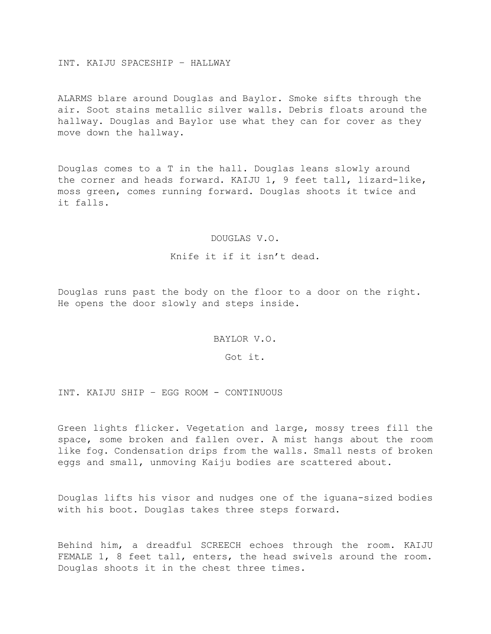### INT. KAIJU SPACESHIP – HALLWAY

ALARMS blare around Douglas and Baylor. Smoke sifts through the air. Soot stains metallic silver walls. Debris floats around the hallway. Douglas and Baylor use what they can for cover as they move down the hallway.

Douglas comes to a T in the hall. Douglas leans slowly around the corner and heads forward. KAIJU 1, 9 feet tall, lizard-like, moss green, comes running forward. Douglas shoots it twice and it falls.

## DOUGLAS V.O.

Knife it if it isn't dead.

Douglas runs past the body on the floor to a door on the right. He opens the door slowly and steps inside.

BAYLOR V.O.

Got it.

INT. KAIJU SHIP – EGG ROOM - CONTINUOUS

Green lights flicker. Vegetation and large, mossy trees fill the space, some broken and fallen over. A mist hangs about the room like fog. Condensation drips from the walls. Small nests of broken eggs and small, unmoving Kaiju bodies are scattered about.

Douglas lifts his visor and nudges one of the iguana-sized bodies with his boot. Douglas takes three steps forward.

Behind him, a dreadful SCREECH echoes through the room. KAIJU FEMALE 1, 8 feet tall, enters, the head swivels around the room. Douglas shoots it in the chest three times.